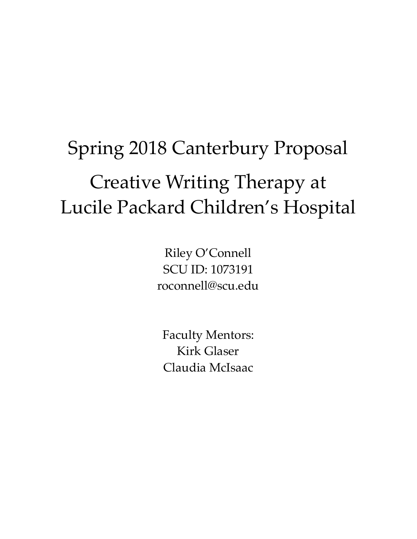# Spring 2018 Canterbury Proposal Creative Writing Therapy at Lucile Packard Children's Hospital

Riley O'Connell SCU ID: 1073191 roconnell@scu.edu

Faculty Mentors: Kirk Glaser Claudia McIsaac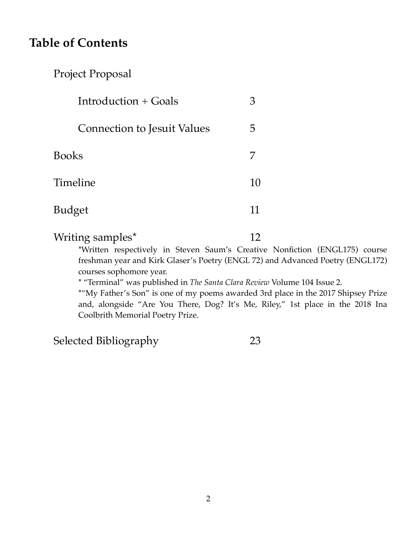# **Table of Contents**

# Project Proposal

| Introduction $+$ Goals             |    |
|------------------------------------|----|
| <b>Connection to Jesuit Values</b> | ۳. |
| Books                              |    |
| Timeline                           | 10 |
| Budget                             | 11 |

Writing samples<sup>\*</sup> 12

\*Written respectively in Steven Saum's Creative Nonfiction (ENGL175) course freshman year and Kirk Glaser's Poetry (ENGL 72) and Advanced Poetry (ENGL172) courses sophomore year.

\* "Terminal" was published in *The Santa Clara Review* Volume 104 Issue 2.

\*"My Father's Son" is one of my poems awarded 3rd place in the 2017 Shipsey Prize and, alongside "Are You There, Dog? It's Me, Riley," 1st place in the 2018 Ina Coolbrith Memorial Poetry Prize.

Selected Bibliography 23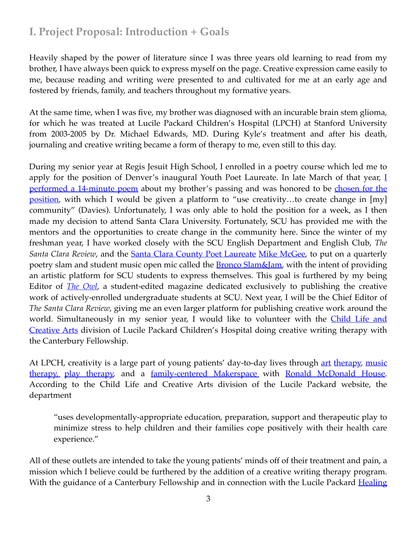# **I. Project Proposal: Introduction + Goals**

Heavily shaped by the power of literature since I was three years old learning to read from my brother, I have always been quick to express myself on the page. Creative expression came easily to me, because reading and writing were presented to and cultivated for me at an early age and fostered by friends, family, and teachers throughout my formative years.

At the same time, when I was five, my brother was diagnosed with an incurable brain stem glioma, for which he was treated at Lucile Packard Children's Hospital (LPCH) at Stanford University from 2003-2005 by Dr. Michael Edwards, MD. During Kyle's treatment and after his death, journaling and creative writing became a form of therapy to me, even still to this day.

During my senior year at Regis Jesuit High School, I enrolled in a poetry course which led me to apply for the position of Denver's inaugural Youth Poet Laureate. In late March of that year,  $I$ [performed a 14-minute poem](http://www.5280.com/2015/03/15-minutes-with-denver-youth-poet-laureate-riley-oconnell/) about my brother's passing and was honored to be chosen for the [position](http://www.5280.com/2015/03/15-minutes-with-denver-youth-poet-laureate-riley-oconnell/), with which I would be given a platform to "use creativity...to create change in [my] community" (Davies). Unfortunately, I was only able to hold the position for a week, as I then made my decision to attend Santa Clara University. Fortunately, SCU has provided me with the mentors and the opportunities to create change in the community here. Since the winter of my freshman year, I have worked closely with the SCU English Department and English Club, *The Santa Clara Review*, and the **Santa Clara County Poet Laureate Mike McGee**, to put on a quarterly poetry slam and student music open mic called the **[Bronco Slam&Jam](https://www.scu.edu/english/news-events/department-blog/bronco-slamjam.html)**, with the intent of providing an artistic platform for SCU students to express themselves. This goal is furthered by my being Editor of *[The Owl](http://santaclaraowl.com/)*, a student-edited magazine dedicated exclusively to publishing the creative work of actively-enrolled undergraduate students at SCU. Next year, I will be the Chief Editor of *The Santa Clara Review*, giving me an even larger platform for publishing creative work around the world. Simultaneously in my senior year, I would like to volunteer with the *Child Life and* [Creative Arts](http://www.stanfordchildrens.org/en/patient-family-resources/child-and-family-life) division of Lucile Packard Children's Hospital doing creative writing therapy with the Canterbury Fellowship.

At LPCH, creativity is a large p[art](https://news.stanford.edu/news/2006/february8/med-art-020806.html) of young patients' day-to-day lives through art [therapy,](https://healthier.stanfordchildrens.org/en/a-day-in-the-life-of-the-art-cart/) music [therapy,](https://healthier.stanfordchildrens.org/en/music-as-a-prescription-for-healing-uplifting-sick-kids/) [play therapy,](http://www.stanfordchildrens.org/en/topic/default?id=play-therapy-90-P03024) and a [family-centered Makerspace](http://dig.abclocal.go.com/kgo/PDF/RMH_at_Stanford_Makerspace_Opening_PR.PDF) with [Ronald McDonald House.](https://www.rmhstanford.org/) According to the Child Life and Creative Arts division of the Lucile Packard website, the department

"uses developmentally-appropriate education, preparation, support and therapeutic play to minimize stress to help children and their families cope positively with their health care experience."

All of these outlets are intended to take the young patients' minds off of their treatment and pain, a mission which I believe could be furthered by the addition of a creative writing therapy program. With the guidance of a Canterbury Fellowship and in connection with the Lucile Packard Healing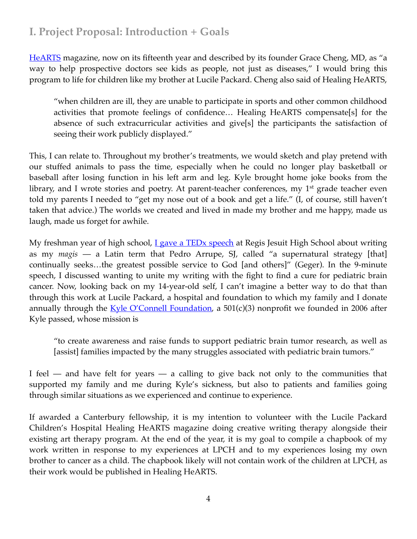# **I. Project Proposal: Introduction + Goals**

[HeARTS](https://news.stanford.edu/news/2006/february8/med-art-020806.html) magazine, now on its fifteenth year and described by its founder Grace Cheng, MD, as "a way to help prospective doctors see kids as people, not just as diseases," I would bring this program to life for children like my brother at Lucile Packard. Cheng also said of Healing HeARTS,

"when children are ill, they are unable to participate in sports and other common childhood activities that promote feelings of confidence… Healing HeARTS compensate[s] for the absence of such extracurricular activities and give[s] the participants the satisfaction of seeing their work publicly displayed."

This, I can relate to. Throughout my brother's treatments, we would sketch and play pretend with our stuffed animals to pass the time, especially when he could no longer play basketball or baseball after losing function in his left arm and leg. Kyle brought home joke books from the library, and I wrote stories and poetry. At parent-teacher conferences, my  $1<sup>st</sup>$  grade teacher even told my parents I needed to "get my nose out of a book and get a life." (I, of course, still haven't taken that advice.) The worlds we created and lived in made my brother and me happy, made us laugh, made us forget for awhile.

My freshman year of high school, *L gave a TEDx speech* at Regis Jesuit High School about writing as my *magis* — a Latin term that Pedro Arrupe, SJ, called "a supernatural strategy [that] continually seeks…the greatest possible service to God [and others]" (Geger). In the 9-minute speech, I discussed wanting to unite my writing with the fight to find a cure for pediatric brain cancer. Now, looking back on my 14-year-old self, I can't imagine a better way to do that than through this work at Lucile Packard, a hospital and foundation to which my family and I donate annually through the  $Kyle O'Connell Foundation$ , a 501(c)(3) nonprofit we founded in 2006 after Kyle passed, whose mission is

"to create awareness and raise funds to support pediatric brain tumor research, as well as [assist] families impacted by the many struggles associated with pediatric brain tumors."

I feel — and have felt for years — a calling to give back not only to the communities that supported my family and me during Kyle's sickness, but also to patients and families going through similar situations as we experienced and continue to experience.

If awarded a Canterbury fellowship, it is my intention to volunteer with the Lucile Packard Children's Hospital Healing HeARTS magazine doing creative writing therapy alongside their existing art therapy program. At the end of the year, it is my goal to compile a chapbook of my work written in response to my experiences at LPCH and to my experiences losing my own brother to cancer as a child. The chapbook likely will not contain work of the children at LPCH, as their work would be published in Healing HeARTS.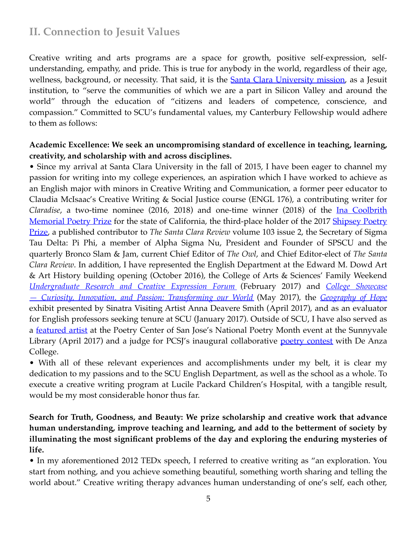# **II. Connection to Jesuit Values**

Creative writing and arts programs are a space for growth, positive self-expression, selfunderstanding, empathy, and pride. This is true for anybody in the world, regardless of their age, wellness, background, or necessity. That said, it is the **Santa Clara University mission**, as a Jesuit institution, to "serve the communities of which we are a part in Silicon Valley and around the world" through the education of "citizens and leaders of competence, conscience, and compassion." Committed to SCU's fundamental values, my Canterbury Fellowship would adhere to them as follows:

#### **Academic Excellence: We seek an uncompromising standard of excellence in teaching, learning, creativity, and scholarship with and across disciplines.**

• Since my arrival at Santa Clara University in the fall of 2015, I have been eager to channel my passion for writing into my college experiences, an aspiration which I have worked to achieve as an English major with minors in Creative Writing and Communication, a former peer educator to Claudia McIsaac's Creative Writing & Social Justice course (ENGL 176), a contributing writer for *Claradise*, a two-time nominee (2016, 2018) and one-time winner (2018) of the [Ina Coolbrith](http://financialaid.berkeley.edu/prizes-and-honors-ina-coolbrith-memorial-poetry-prize)  [Memorial Poetry Prize](http://financialaid.berkeley.edu/prizes-and-honors-ina-coolbrith-memorial-poetry-prize) for the state of California, the third-place holder of the 2017 Shipsey Poetry [Prize](https://www.scu.edu/english/beyond-the-classroom/awards/), a published contributor to *The Santa Clara Review* volume 103 issue 2, the Secretary of Sigma Tau Delta: Pi Phi, a member of Alpha Sigma Nu, President and Founder of SPSCU and the quarterly Bronco Slam & Jam, current Chief Editor of *The Owl*, and Chief Editor-elect of *The Santa Clara Review*. In addition, I have represented the English Department at the Edward M. Dowd Art & Art History building opening (October 2016), the College of Arts & Sciences' Family Weekend *[Undergraduate Research and Creative Expression Forum](https://www.scu.edu/cas/news--events/family-weekend-2017/)* (February 2017) and *[College Showcase](https://www.scu.edu/news-and-events/feature-stories/stories/transforming-our-world.html)  — [Curiosity, Innovation, and Passion: Transforming our World](https://www.scu.edu/news-and-events/feature-stories/stories/transforming-our-world.html)* (May 2017), the *[Geography of Hope](https://www.scu.edu/news-and-events/press-releases/2017/march-2017/a-geography-of-hope-at-the-de-saisset-.html)* exhibit presented by Sinatra Visiting Artist Anna Deavere Smith (April 2017), and as an evaluator for English professors seeking tenure at SCU (January 2017). Outside of SCU, I have also served as a <u>featured artist</u> at the Poetry Center of San Jose's National Poetry Month event at the Sunnyvale Library (April 2017) and a judge for PCSJ's inaugural collaborative [poetry contest](https://www.deanza.edu/english-writing/creative/redwheelbarrow.html) with De Anza College.

• With all of these relevant experiences and accomplishments under my belt, it is clear my dedication to my passions and to the SCU English Department, as well as the school as a whole. To execute a creative writing program at Lucile Packard Children's Hospital, with a tangible result, would be my most considerable honor thus far.

### **Search for Truth, Goodness, and Beauty: We prize scholarship and creative work that advance human understanding, improve teaching and learning, and add to the betterment of society by illuminating the most significant problems of the day and exploring the enduring mysteries of life.**

• In my aforementioned 2012 TEDx speech, I referred to creative writing as "an exploration. You start from nothing, and you achieve something beautiful, something worth sharing and telling the world about." Creative writing therapy advances human understanding of one's self, each other,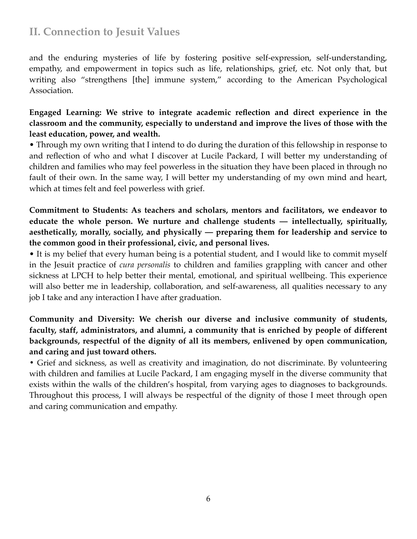## **II. Connection to Jesuit Values**

and the enduring mysteries of life by fostering positive self-expression, self-understanding, empathy, and empowerment in topics such as life, relationships, grief, etc. Not only that, but writing also "strengthens [the] immune system," according to the American Psychological Association.

### **Engaged Learning: We strive to integrate academic reflection and direct experience in the classroom and the community, especially to understand and improve the lives of those with the least education, power, and wealth.**

• Through my own writing that I intend to do during the duration of this fellowship in response to and reflection of who and what I discover at Lucile Packard, I will better my understanding of children and families who may feel powerless in the situation they have been placed in through no fault of their own. In the same way, I will better my understanding of my own mind and heart, which at times felt and feel powerless with grief.

### **Commitment to Students: As teachers and scholars, mentors and facilitators, we endeavor to educate the whole person. We nurture and challenge students — intellectually, spiritually, aesthetically, morally, socially, and physically — preparing them for leadership and service to the common good in their professional, civic, and personal lives.**

• It is my belief that every human being is a potential student, and I would like to commit myself in the Jesuit practice of *cura personalis* to children and families grappling with cancer and other sickness at LPCH to help better their mental, emotional, and spiritual wellbeing. This experience will also better me in leadership, collaboration, and self-awareness, all qualities necessary to any job I take and any interaction I have after graduation.

### **Community and Diversity: We cherish our diverse and inclusive community of students, faculty, staff, administrators, and alumni, a community that is enriched by people of different backgrounds, respectful of the dignity of all its members, enlivened by open communication, and caring and just toward others.**

**•** Grief and sickness, as well as creativity and imagination, do not discriminate. By volunteering with children and families at Lucile Packard, I am engaging myself in the diverse community that exists within the walls of the children's hospital, from varying ages to diagnoses to backgrounds. Throughout this process, I will always be respectful of the dignity of those I meet through open and caring communication and empathy.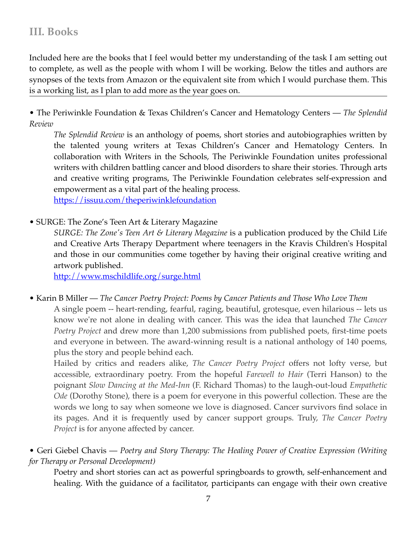## **III. Books**

Included here are the books that I feel would better my understanding of the task I am setting out to complete, as well as the people with whom I will be working. Below the titles and authors are synopses of the texts from Amazon or the equivalent site from which I would purchase them. This is a working list, as I plan to add more as the year goes on.

• The Periwinkle Foundation & Texas Children's Cancer and Hematology Centers — *The Splendid Review*

*The Splendid Review* is an anthology of poems, short stories and autobiographies written by the talented young writers at Texas Children's Cancer and Hematology Centers. In collaboration with Writers in the Schools, The Periwinkle Foundation unites professional writers with children battling cancer and blood disorders to share their stories. Through arts and creative writing programs, The Periwinkle Foundation celebrates self-expression and empowerment as a vital part of the healing process. <https://issuu.com/theperiwinklefoundation>

• SURGE: The Zone's Teen Art & Literary Magazine

*SURGE: The Zone's Teen Art & Literary Magazine* is a publication produced by the Child Life and Creative Arts Therapy Department where teenagers in the Kravis Children's Hospital and those in our communities come together by having their original creative writing and artwork published.

<http://www.mschildlife.org/surge.html>

• Karin B Miller — *The Cancer Poetry Project: Poems by Cancer Patients and Those Who Love Them*

A single poem -- heart-rending, fearful, raging, beautiful, grotesque, even hilarious -- lets us know we're not alone in dealing with cancer. This was the idea that launched *The Cancer Poetry Project* and drew more than 1,200 submissions from published poets, first-time poets and everyone in between. The award-winning result is a national anthology of 140 poems, plus the story and people behind each.

Hailed by critics and readers alike, *The Cancer Poetry Project* offers not lofty verse, but accessible, extraordinary poetry. From the hopeful *Farewell to Hair* (Terri Hanson) to the poignant *Slow Dancing at the Med-Inn* (F. Richard Thomas) to the laugh-out-loud *Empathetic Ode* (Dorothy Stone), there is a poem for everyone in this powerful collection. These are the words we long to say when someone we love is diagnosed. Cancer survivors find solace in its pages. And it is frequently used by cancer support groups. Truly, *The Cancer Poetry Project* is for anyone affected by cancer.

• Geri Giebel Chavis — *Poetry and Story Therapy: The Healing Power of Creative Expression (Writing for Therapy or Personal Development)*

Poetry and short stories can act as powerful springboards to growth, self-enhancement and healing. With the guidance of a facilitator, participants can engage with their own creative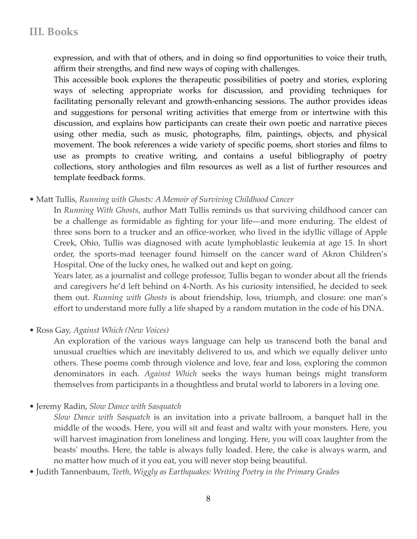expression, and with that of others, and in doing so find opportunities to voice their truth, affirm their strengths, and find new ways of coping with challenges.

This accessible book explores the therapeutic possibilities of poetry and stories, exploring ways of selecting appropriate works for discussion, and providing techniques for facilitating personally relevant and growth-enhancing sessions. The author provides ideas and suggestions for personal writing activities that emerge from or intertwine with this discussion, and explains how participants can create their own poetic and narrative pieces using other media, such as music, photographs, film, paintings, objects, and physical movement. The book references a wide variety of specific poems, short stories and films to use as prompts to creative writing, and contains a useful bibliography of poetry collections, story anthologies and film resources as well as a list of further resources and template feedback forms.

• Matt Tullis, *Running with Ghosts: A Memoir of Surviving Childhood Cancer*

In *Running With Ghosts*, author Matt Tullis reminds us that surviving childhood cancer can be a challenge as formidable as fighting for your life—and more enduring. The eldest of three sons born to a trucker and an office-worker, who lived in the idyllic village of Apple Creek, Ohio, Tullis was diagnosed with acute lymphoblastic leukemia at age 15. In short order, the sports-mad teenager found himself on the cancer ward of Akron Children's Hospital. One of the lucky ones, he walked out and kept on going.

Years later, as a journalist and college professor, Tullis began to wonder about all the friends and caregivers he'd left behind on 4-North. As his curiosity intensified, he decided to seek them out. *Running with Ghosts* is about friendship, loss, triumph, and closure: one man's effort to understand more fully a life shaped by a random mutation in the code of his DNA.

• Ross Gay, *Against Which (New Voices)*

An exploration of the various ways language can help us transcend both the banal and unusual cruelties which are inevitably delivered to us, and which we equally deliver unto others. These poems comb through violence and love, fear and loss, exploring the common denominators in each. *Against Which* seeks the ways human beings might transform themselves from participants in a thoughtless and brutal world to laborers in a loving one.

• Jeremy Radin, *Slow Dance with Sasquatch*

*Slow Dance with Sasquatch* is an invitation into a private ballroom, a banquet hall in the middle of the woods. Here, you will sit and feast and waltz with your monsters. Here, you will harvest imagination from loneliness and longing. Here, you will coax laughter from the beasts' mouths. Here, the table is always fully loaded. Here, the cake is always warm, and no matter how much of it you eat, you will never stop being beautiful.

• Judith Tannenbaum, *Teeth, Wiggly as Earthquakes: Writing Poetry in the Primary Grades*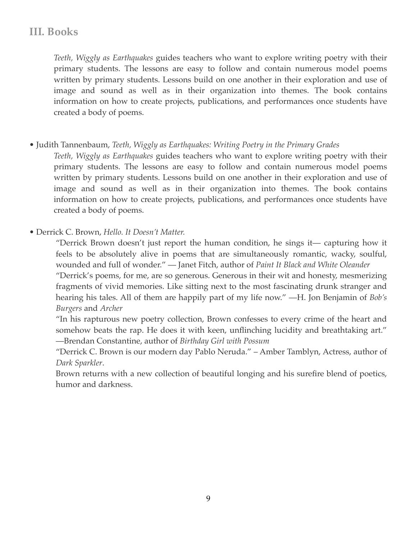# **III. Books**

*Teeth, Wiggly as Earthquakes* guides teachers who want to explore writing poetry with their primary students. The lessons are easy to follow and contain numerous model poems written by primary students. Lessons build on one another in their exploration and use of image and sound as well as in their organization into themes. The book contains information on how to create projects, publications, and performances once students have created a body of poems.

• Judith Tannenbaum, *Teeth, Wiggly as Earthquakes: Writing Poetry in the Primary Grades*

*Teeth, Wiggly as Earthquakes* guides teachers who want to explore writing poetry with their primary students. The lessons are easy to follow and contain numerous model poems written by primary students. Lessons build on one another in their exploration and use of image and sound as well as in their organization into themes. The book contains information on how to create projects, publications, and performances once students have created a body of poems.

• Derrick C. Brown, *Hello. It Doesn't Matter.*

"Derrick Brown doesn't just report the human condition, he sings it— capturing how it feels to be absolutely alive in poems that are simultaneously romantic, wacky, soulful, wounded and full of wonder." — Janet Fitch, author of *Paint It Black and White Oleander* "Derrick's poems, for me, are so generous. Generous in their wit and honesty, mesmerizing

fragments of vivid memories. Like sitting next to the most fascinating drunk stranger and hearing his tales. All of them are happily part of my life now." —H. Jon Benjamin of *Bob's Burgers* and *Archer*

"In his rapturous new poetry collection, Brown confesses to every crime of the heart and somehow beats the rap. He does it with keen, unflinching lucidity and breathtaking art." —Brendan Constantine, author of *Birthday Girl with Possum*

"Derrick C. Brown is our modern day Pablo Neruda." – Amber Tamblyn, Actress, author of *Dark Sparkler*.

Brown returns with a new collection of beautiful longing and his surefire blend of poetics, humor and darkness.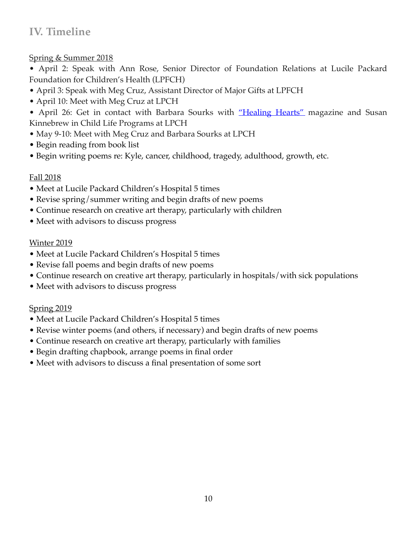# **IV. Timeline**

Spring & Summer 2018

• April 2: Speak with Ann Rose, Senior Director of Foundation Relations at Lucile Packard Foundation for Children's Health (LPFCH)

- April 3: Speak with Meg Cruz, Assistant Director of Major Gifts at LPFCH
- April 10: Meet with Meg Cruz at LPCH

• April 26: Get in contact with Barbara Sourks with ["Healing Hearts"](https://news.stanford.edu/news/2006/february8/med-art-020806.html) magazine and Susan Kinnebrew in Child Life Programs at LPCH

- May 9-10: Meet with Meg Cruz and Barbara Sourks at LPCH
- Begin reading from book list
- Begin writing poems re: Kyle, cancer, childhood, tragedy, adulthood, growth, etc.

### Fall 2018

- Meet at Lucile Packard Children's Hospital 5 times
- Revise spring/summer writing and begin drafts of new poems
- Continue research on creative art therapy, particularly with children
- Meet with advisors to discuss progress

### **Winter 2019**

- Meet at Lucile Packard Children's Hospital 5 times
- Revise fall poems and begin drafts of new poems
- Continue research on creative art therapy, particularly in hospitals/with sick populations
- Meet with advisors to discuss progress

### Spring 2019

- Meet at Lucile Packard Children's Hospital 5 times
- Revise winter poems (and others, if necessary) and begin drafts of new poems
- Continue research on creative art therapy, particularly with families
- Begin drafting chapbook, arrange poems in final order
- Meet with advisors to discuss a final presentation of some sort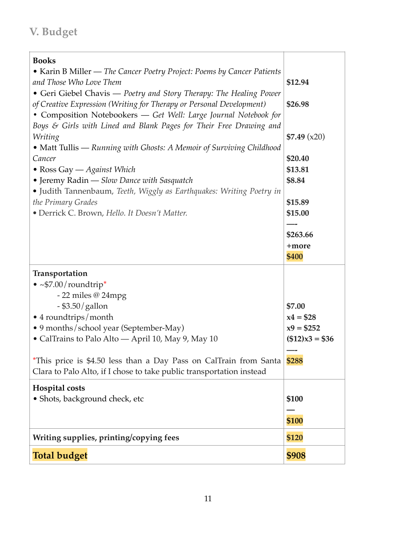# **V. Budget**

| <b>Books</b>                                                                  |                        |
|-------------------------------------------------------------------------------|------------------------|
| • Karin B Miller — The Cancer Poetry Project: Poems by Cancer Patients        |                        |
| and Those Who Love Them                                                       | \$12.94                |
| • Geri Giebel Chavis — Poetry and Story Therapy: The Healing Power            |                        |
| of Creative Expression (Writing for Therapy or Personal Development)          | \$26.98                |
| • Composition Notebookers - Get Well: Large Journal Notebook for              |                        |
| Boys & Girls with Lined and Blank Pages for Their Free Drawing and<br>Writing | \$7.49(x20)            |
| • Matt Tullis — Running with Ghosts: A Memoir of Surviving Childhood          |                        |
| Cancer                                                                        | \$20.40                |
| • Ross Gay — Against Which                                                    | \$13.81                |
| • Jeremy Radin - Slow Dance with Sasquatch                                    | \$8.84                 |
| • Judith Tannenbaum, Teeth, Wiggly as Earthquakes: Writing Poetry in          |                        |
| the Primary Grades                                                            | \$15.89                |
| · Derrick C. Brown, Hello. It Doesn't Matter.                                 | \$15.00                |
|                                                                               |                        |
|                                                                               | \$263.66               |
|                                                                               | +more                  |
|                                                                               | \$400                  |
| Transportation                                                                |                        |
| • $\sim$ \$7.00/roundtrip*                                                    |                        |
| $-22$ miles @ 24mpg                                                           |                        |
| $-$ \$3.50/gallon                                                             | \$7.00                 |
| • 4 roundtrips/month                                                          | $x4 = $28$             |
| · 9 months/school year (September-May)                                        | $x9 = $252$            |
| · CalTrains to Palo Alto - April 10, May 9, May 10                            | $($12) \times 3 = $36$ |
|                                                                               |                        |
| *This price is \$4.50 less than a Day Pass on CalTrain from Santa             | \$288                  |
| Clara to Palo Alto, if I chose to take public transportation instead          |                        |
| Hospital costs                                                                |                        |
| • Shots, background check, etc                                                | \$100                  |
|                                                                               |                        |
|                                                                               | \$100                  |
| Writing supplies, printing/copying fees                                       | \$120                  |
| <b>Total budget</b>                                                           | \$908                  |
|                                                                               |                        |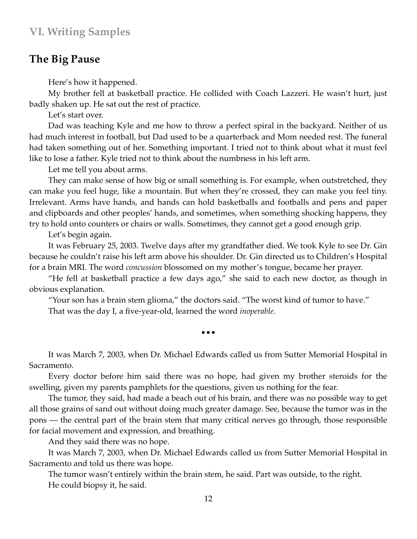### **The Big Pause**

Here's how it happened.

My brother fell at basketball practice. He collided with Coach Lazzeri. He wasn't hurt, just badly shaken up. He sat out the rest of practice.

Let's start over.

Dad was teaching Kyle and me how to throw a perfect spiral in the backyard. Neither of us had much interest in football, but Dad used to be a quarterback and Mom needed rest. The funeral had taken something out of her. Something important. I tried not to think about what it must feel like to lose a father. Kyle tried not to think about the numbness in his left arm.

Let me tell you about arms.

They can make sense of how big or small something is. For example, when outstretched, they can make you feel huge, like a mountain. But when they're crossed, they can make you feel tiny. Irrelevant. Arms have hands, and hands can hold basketballs and footballs and pens and paper and clipboards and other peoples' hands, and sometimes, when something shocking happens, they try to hold onto counters or chairs or walls. Sometimes, they cannot get a good enough grip.

Let's begin again.

It was February 25, 2003. Twelve days after my grandfather died. We took Kyle to see Dr. Gin because he couldn't raise his left arm above his shoulder. Dr. Gin directed us to Children's Hospital for a brain MRI. The word *concussion* blossomed on my mother's tongue, became her prayer.

"He fell at basketball practice a few days ago," she said to each new doctor, as though in obvious explanation.

"Your son has a brain stem glioma," the doctors said. "The worst kind of tumor to have."

•••

That was the day I, a five-year-old, learned the word *inoperable*.

It was March 7, 2003, when Dr. Michael Edwards called us from Sutter Memorial Hospital in Sacramento.

Every doctor before him said there was no hope, had given my brother steroids for the swelling, given my parents pamphlets for the questions, given us nothing for the fear.

The tumor, they said, had made a beach out of his brain, and there was no possible way to get all those grains of sand out without doing much greater damage. See, because the tumor was in the pons — the central part of the brain stem that many critical nerves go through, those responsible for facial movement and expression, and breathing.

And they said there was no hope.

It was March 7, 2003, when Dr. Michael Edwards called us from Sutter Memorial Hospital in Sacramento and told us there was hope.

The tumor wasn't entirely within the brain stem, he said. Part was outside, to the right. He could biopsy it, he said.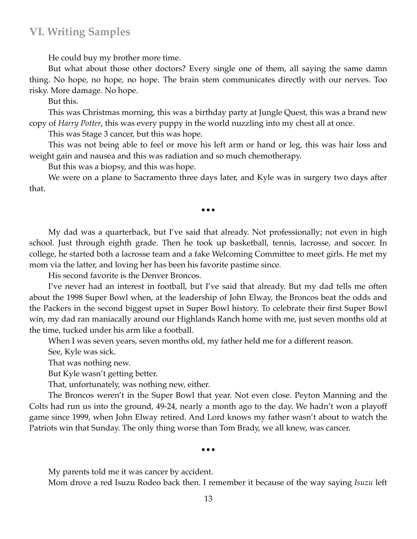He could buy my brother more time.

But what about those other doctors? Every single one of them, all saying the same damn thing. No hope, no hope, no hope. The brain stem communicates directly with our nerves. Too risky. More damage. No hope.

But this.

This was Christmas morning, this was a birthday party at Jungle Quest, this was a brand new copy of *Harry Potter*, this was every puppy in the world nuzzling into my chest all at once.

This was Stage 3 cancer, but this was hope.

This was not being able to feel or move his left arm or hand or leg, this was hair loss and weight gain and nausea and this was radiation and so much chemotherapy.

But this was a biopsy, and this was hope.

We were on a plane to Sacramento three days later, and Kyle was in surgery two days after that.

•••

My dad was a quarterback, but I've said that already. Not professionally; not even in high school. Just through eighth grade. Then he took up basketball, tennis, lacrosse, and soccer. In college, he started both a lacrosse team and a fake Welcoming Committee to meet girls. He met my mom via the latter, and loving her has been his favorite pastime since.

His second favorite is the Denver Broncos.

I've never had an interest in football, but I've said that already. But my dad tells me often about the 1998 Super Bowl when, at the leadership of John Elway, the Broncos beat the odds and the Packers in the second biggest upset in Super Bowl history. To celebrate their first Super Bowl win, my dad ran maniacally around our Highlands Ranch home with me, just seven months old at the time, tucked under his arm like a football.

When I was seven years, seven months old, my father held me for a different reason.

See, Kyle was sick.

That was nothing new.

But Kyle wasn't getting better.

That, unfortunately, was nothing new, either.

The Broncos weren't in the Super Bowl that year. Not even close. Peyton Manning and the Colts had run us into the ground, 49-24, nearly a month ago to the day. We hadn't won a playoff game since 1999, when John Elway retired. And Lord knows my father wasn't about to watch the Patriots win that Sunday. The only thing worse than Tom Brady, we all knew, was cancer.

#### •••

My parents told me it was cancer by accident.

Mom drove a red Isuzu Rodeo back then. I remember it because of the way saying *Isuzu* left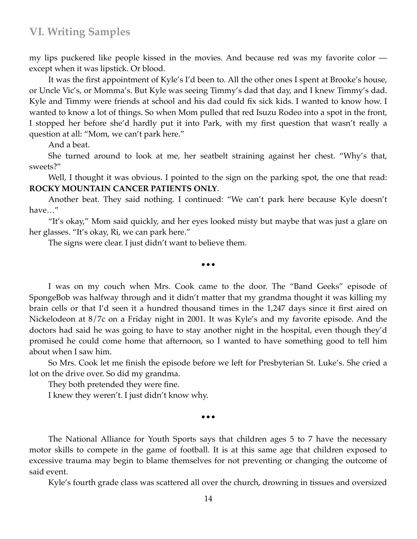my lips puckered like people kissed in the movies. And because red was my favorite color except when it was lipstick. Or blood.

It was the first appointment of Kyle's I'd been to. All the other ones I spent at Brooke's house, or Uncle Vic's, or Momma's. But Kyle was seeing Timmy's dad that day, and I knew Timmy's dad. Kyle and Timmy were friends at school and his dad could fix sick kids. I wanted to know how. I wanted to know a lot of things. So when Mom pulled that red Isuzu Rodeo into a spot in the front, I stopped her before she'd hardly put it into Park, with my first question that wasn't really a question at all: "Mom, we can't park here."

And a beat.

She turned around to look at me, her seatbelt straining against her chest. "Why's that, sweets?"

Well, I thought it was obvious. I pointed to the sign on the parking spot, the one that read: **ROCKY MOUNTAIN CANCER PATIENTS ONLY**.

Another beat. They said nothing. I continued: "We can't park here because Kyle doesn't have…"

"It's okay," Mom said quickly, and her eyes looked misty but maybe that was just a glare on her glasses. "It's okay, Ri, we can park here."

•••

The signs were clear. I just didn't want to believe them.

I was on my couch when Mrs. Cook came to the door. The "Band Geeks" episode of SpongeBob was halfway through and it didn't matter that my grandma thought it was killing my brain cells or that I'd seen it a hundred thousand times in the 1,247 days since it first aired on Nickelodeon at 8/7c on a Friday night in 2001. It was Kyle's and my favorite episode. And the doctors had said he was going to have to stay another night in the hospital, even though they'd promised he could come home that afternoon, so I wanted to have something good to tell him about when I saw him.

So Mrs. Cook let me finish the episode before we left for Presbyterian St. Luke's. She cried a lot on the drive over. So did my grandma.

They both pretended they were fine.

I knew they weren't. I just didn't know why.

•••

The National Alliance for Youth Sports says that children ages 5 to 7 have the necessary motor skills to compete in the game of football. It is at this same age that children exposed to excessive trauma may begin to blame themselves for not preventing or changing the outcome of said event.

Kyle's fourth grade class was scattered all over the church, drowning in tissues and oversized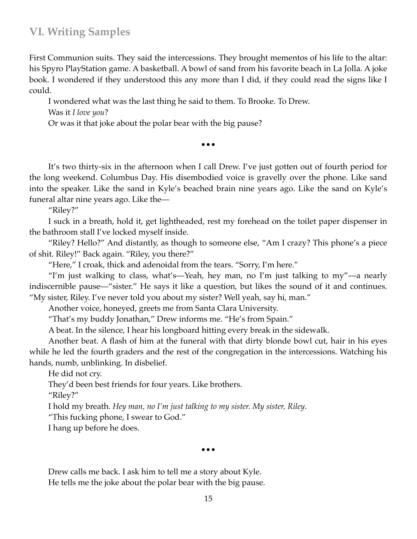First Communion suits. They said the intercessions. They brought mementos of his life to the altar: his Spyro PlayStation game. A basketball. A bowl of sand from his favorite beach in La Jolla. A joke book. I wondered if they understood this any more than I did, if they could read the signs like I could.

I wondered what was the last thing he said to them. To Brooke. To Drew.

Was it *I love you*?

Or was it that joke about the polar bear with the big pause?

•••

It's two thirty-six in the afternoon when I call Drew. I've just gotten out of fourth period for the long weekend. Columbus Day. His disembodied voice is gravelly over the phone. Like sand into the speaker. Like the sand in Kyle's beached brain nine years ago. Like the sand on Kyle's funeral altar nine years ago. Like the—

"Riley?"

I suck in a breath, hold it, get lightheaded, rest my forehead on the toilet paper dispenser in the bathroom stall I've locked myself inside.

"Riley? Hello?" And distantly, as though to someone else, "Am I crazy? This phone's a piece of shit. Riley!" Back again. "Riley, you there?"

"Here," I croak, thick and adenoidal from the tears. "Sorry, I'm here."

"I'm just walking to class, what's—Yeah, hey man, no I'm just talking to my"—a nearly indiscernible pause—"sister." He says it like a question, but likes the sound of it and continues. "My sister, Riley. I've never told you about my sister? Well yeah, say hi, man."

Another voice, honeyed, greets me from Santa Clara University.

"That's my buddy Jonathan," Drew informs me. "He's from Spain."

A beat. In the silence, I hear his longboard hitting every break in the sidewalk.

Another beat. A flash of him at the funeral with that dirty blonde bowl cut, hair in his eyes while he led the fourth graders and the rest of the congregation in the intercessions. Watching his hands, numb, unblinking. In disbelief.

He did not cry.

They'd been best friends for four years. Like brothers.

"Riley?"

I hold my breath. *Hey man, no I'm just talking to my sister. My sister, Riley*.

"This fucking phone, I swear to God."

I hang up before he does.

•••

Drew calls me back. I ask him to tell me a story about Kyle. He tells me the joke about the polar bear with the big pause.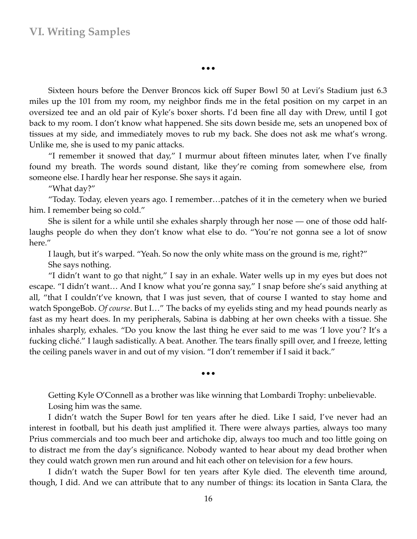•••

Sixteen hours before the Denver Broncos kick off Super Bowl 50 at Levi's Stadium just 6.3 miles up the 101 from my room, my neighbor finds me in the fetal position on my carpet in an oversized tee and an old pair of Kyle's boxer shorts. I'd been fine all day with Drew, until I got back to my room. I don't know what happened. She sits down beside me, sets an unopened box of tissues at my side, and immediately moves to rub my back. She does not ask me what's wrong. Unlike me, she is used to my panic attacks.

"I remember it snowed that day," I murmur about fifteen minutes later, when I've finally found my breath. The words sound distant, like they're coming from somewhere else, from someone else. I hardly hear her response. She says it again.

"What day?"

"Today. Today, eleven years ago. I remember…patches of it in the cemetery when we buried him. I remember being so cold."

She is silent for a while until she exhales sharply through her nose — one of those odd halflaughs people do when they don't know what else to do. "You're not gonna see a lot of snow here."

I laugh, but it's warped. "Yeah. So now the only white mass on the ground is me, right?" She says nothing.

"I didn't want to go that night," I say in an exhale. Water wells up in my eyes but does not escape. "I didn't want… And I know what you're gonna say," I snap before she's said anything at all, "that I couldn't've known, that I was just seven, that of course I wanted to stay home and watch SpongeBob. *Of course*. But I…" The backs of my eyelids sting and my head pounds nearly as fast as my heart does. In my peripherals, Sabina is dabbing at her own cheeks with a tissue. She inhales sharply, exhales. "Do you know the last thing he ever said to me was 'I love you'? It's a fucking cliché." I laugh sadistically. A beat. Another. The tears finally spill over, and I freeze, letting the ceiling panels waver in and out of my vision. "I don't remember if I said it back."

•••

Getting Kyle O'Connell as a brother was like winning that Lombardi Trophy: unbelievable. Losing him was the same.

I didn't watch the Super Bowl for ten years after he died. Like I said, I've never had an interest in football, but his death just amplified it. There were always parties, always too many Prius commercials and too much beer and artichoke dip, always too much and too little going on to distract me from the day's significance. Nobody wanted to hear about my dead brother when they could watch grown men run around and hit each other on television for a few hours.

I didn't watch the Super Bowl for ten years after Kyle died. The eleventh time around, though, I did. And we can attribute that to any number of things: its location in Santa Clara, the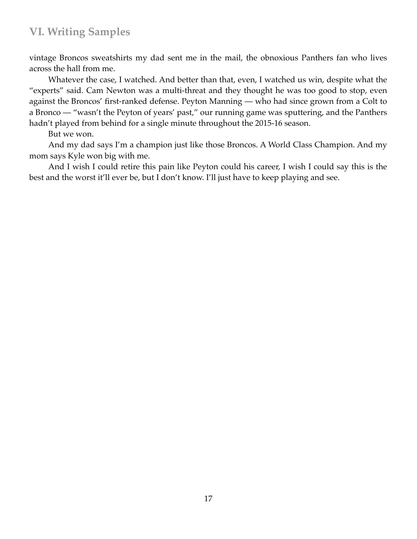vintage Broncos sweatshirts my dad sent me in the mail, the obnoxious Panthers fan who lives across the hall from me.

Whatever the case, I watched. And better than that, even, I watched us win, despite what the "experts" said. Cam Newton was a multi-threat and they thought he was too good to stop, even against the Broncos' first-ranked defense. Peyton Manning — who had since grown from a Colt to a Bronco — "wasn't the Peyton of years' past," our running game was sputtering, and the Panthers hadn't played from behind for a single minute throughout the 2015-16 season.

But we won.

And my dad says I'm a champion just like those Broncos. A World Class Champion. And my mom says Kyle won big with me.

And I wish I could retire this pain like Peyton could his career, I wish I could say this is the best and the worst it'll ever be, but I don't know. I'll just have to keep playing and see.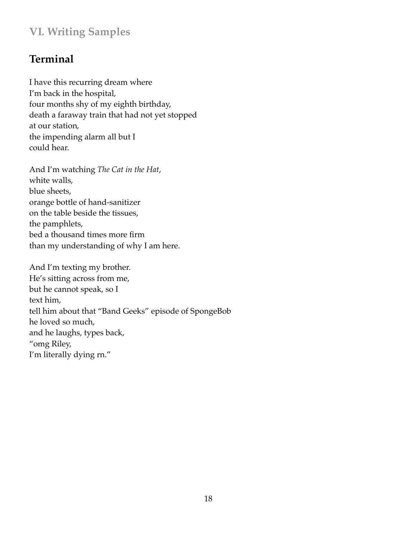# **Terminal**

I have this recurring dream where I'm back in the hospital, four months shy of my eighth birthday, death a faraway train that had not yet stopped at our station, the impending alarm all but I could hear.

And I'm watching *The Cat in the Hat*, white walls, blue sheets, orange bottle of hand-sanitizer on the table beside the tissues, the pamphlets, bed a thousand times more firm than my understanding of why I am here.

And I'm texting my brother. He's sitting across from me, but he cannot speak, so I text him, tell him about that "Band Geeks" episode of SpongeBob he loved so much, and he laughs, types back, "omg Riley, I'm literally dying rn."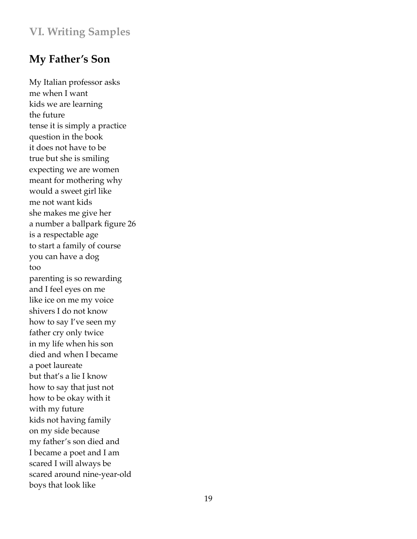# **My Father's Son**

My Italian professor asks me when I want kids we are learning the future tense it is simply a practice question in the book it does not have to be true but she is smiling expecting we are women meant for mothering why would a sweet girl like me not want kids she makes me give her a number a ballpark figure 26 is a respectable age to start a family of course you can have a dog too parenting is so rewarding and I feel eyes on me like ice on me my voice shivers I do not know how to say I've seen my father cry only twice in my life when his son died and when I became a poet laureate but that's a lie I know how to say that just not how to be okay with it with my future kids not having family on my side because my father's son died and I became a poet and I am scared I will always be scared around nine-year-old boys that look like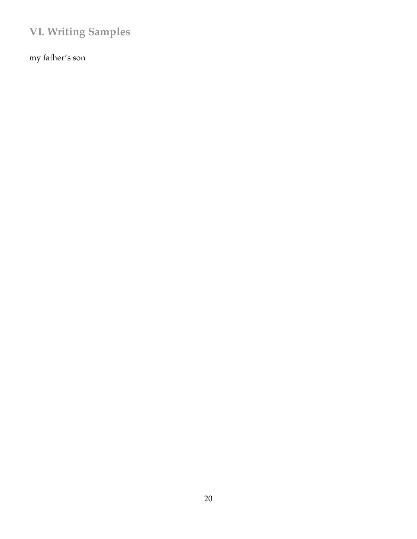my father's son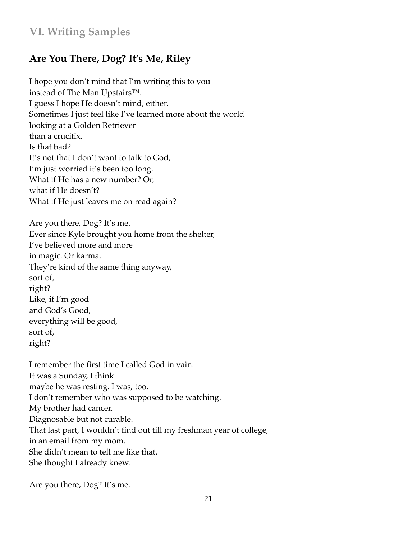# **Are You There, Dog? It's Me, Riley**

I hope you don't mind that I'm writing this to you instead of The Man Upstairs™. I guess I hope He doesn't mind, either. Sometimes I just feel like I've learned more about the world looking at a Golden Retriever than a crucifix. Is that bad? It's not that I don't want to talk to God, I'm just worried it's been too long. What if He has a new number? Or, what if He doesn't? What if He just leaves me on read again?

Are you there, Dog? It's me. Ever since Kyle brought you home from the shelter, I've believed more and more in magic. Or karma. They're kind of the same thing anyway, sort of, right? Like, if I'm good and God's Good, everything will be good, sort of, right?

I remember the first time I called God in vain. It was a Sunday, I think maybe he was resting. I was, too. I don't remember who was supposed to be watching. My brother had cancer. Diagnosable but not curable. That last part, I wouldn't find out till my freshman year of college, in an email from my mom. She didn't mean to tell me like that. She thought I already knew.

Are you there, Dog? It's me.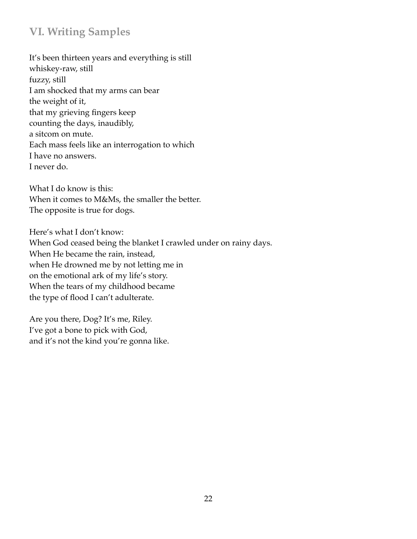It's been thirteen years and everything is still whiskey-raw, still fuzzy, still I am shocked that my arms can bear the weight of it, that my grieving fingers keep counting the days, inaudibly, a sitcom on mute. Each mass feels like an interrogation to which I have no answers. I never do.

What I do know is this: When it comes to M&Ms, the smaller the better. The opposite is true for dogs.

Here's what I don't know: When God ceased being the blanket I crawled under on rainy days. When He became the rain, instead, when He drowned me by not letting me in on the emotional ark of my life's story. When the tears of my childhood became the type of flood I can't adulterate.

Are you there, Dog? It's me, Riley. I've got a bone to pick with God, and it's not the kind you're gonna like.